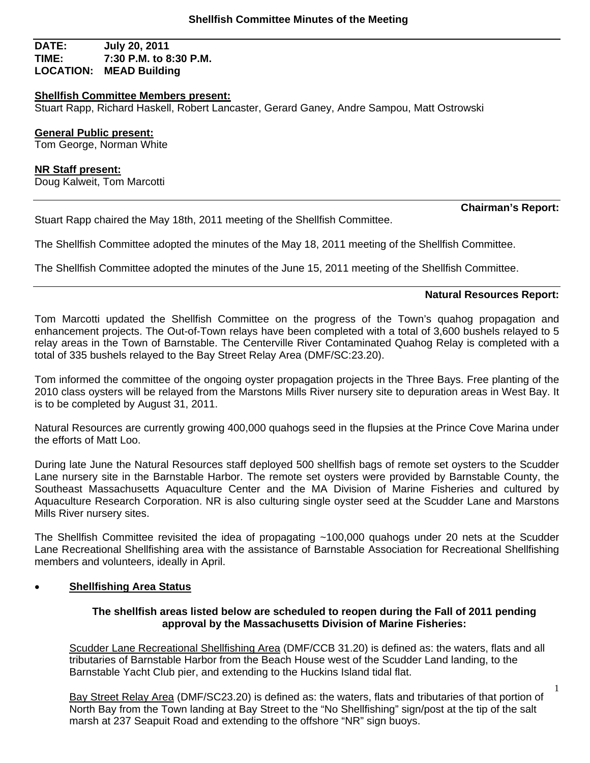### **DATE: July 20, 2011 TIME: 7:30 P.M. to 8:30 P.M. LOCATION: MEAD Building**

#### **Shellfish Committee Members present:**

Stuart Rapp, Richard Haskell, Robert Lancaster, Gerard Ganey, Andre Sampou, Matt Ostrowski

# **General Public present:**

Tom George, Norman White

### **NR Staff present:**

Doug Kalweit, Tom Marcotti

Stuart Rapp chaired the May 18th, 2011 meeting of the Shellfish Committee.

The Shellfish Committee adopted the minutes of the May 18, 2011 meeting of the Shellfish Committee.

The Shellfish Committee adopted the minutes of the June 15, 2011 meeting of the Shellfish Committee.

#### **Natural Resources Report:**

**Chairman's Report:** 

1

Tom Marcotti updated the Shellfish Committee on the progress of the Town's quahog propagation and enhancement projects. The Out-of-Town relays have been completed with a total of 3,600 bushels relayed to 5 relay areas in the Town of Barnstable. The Centerville River Contaminated Quahog Relay is completed with a total of 335 bushels relayed to the Bay Street Relay Area (DMF/SC:23.20).

Tom informed the committee of the ongoing oyster propagation projects in the Three Bays. Free planting of the 2010 class oysters will be relayed from the Marstons Mills River nursery site to depuration areas in West Bay. It is to be completed by August 31, 2011.

Natural Resources are currently growing 400,000 quahogs seed in the flupsies at the Prince Cove Marina under the efforts of Matt Loo.

During late June the Natural Resources staff deployed 500 shellfish bags of remote set oysters to the Scudder Lane nursery site in the Barnstable Harbor. The remote set oysters were provided by Barnstable County, the Southeast Massachusetts Aquaculture Center and the MA Division of Marine Fisheries and cultured by Aquaculture Research Corporation. NR is also culturing single oyster seed at the Scudder Lane and Marstons Mills River nursery sites.

The Shellfish Committee revisited the idea of propagating ~100,000 quahogs under 20 nets at the Scudder Lane Recreational Shellfishing area with the assistance of Barnstable Association for Recreational Shellfishing members and volunteers, ideally in April.

### **Shellfishing Area Status**

### **The shellfish areas listed below are scheduled to reopen during the Fall of 2011 pending approval by the Massachusetts Division of Marine Fisheries:**

Scudder Lane Recreational Shellfishing Area (DMF/CCB 31.20) is defined as: the waters, flats and all tributaries of Barnstable Harbor from the Beach House west of the Scudder Land landing, to the Barnstable Yacht Club pier, and extending to the Huckins Island tidal flat.

Bay Street Relay Area (DMF/SC23.20) is defined as: the waters, flats and tributaries of that portion of North Bay from the Town landing at Bay Street to the "No Shellfishing" sign/post at the tip of the salt marsh at 237 Seapuit Road and extending to the offshore "NR" sign buoys.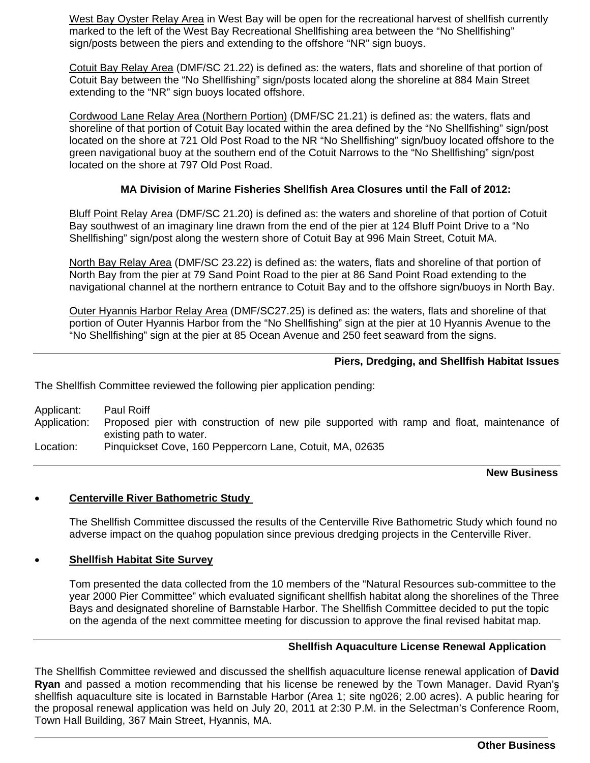West Bay Oyster Relay Area in West Bay will be open for the recreational harvest of shellfish currently marked to the left of the West Bay Recreational Shellfishing area between the "No Shellfishing" sign/posts between the piers and extending to the offshore "NR" sign buoys.

Cotuit Bay Relay Area (DMF/SC 21.22) is defined as: the waters, flats and shoreline of that portion of Cotuit Bay between the "No Shellfishing" sign/posts located along the shoreline at 884 Main Street extending to the "NR" sign buoys located offshore.

Cordwood Lane Relay Area (Northern Portion) (DMF/SC 21.21) is defined as: the waters, flats and shoreline of that portion of Cotuit Bay located within the area defined by the "No Shellfishing" sign/post located on the shore at 721 Old Post Road to the NR "No Shellfishing" sign/buoy located offshore to the green navigational buoy at the southern end of the Cotuit Narrows to the "No Shellfishing" sign/post located on the shore at 797 Old Post Road.

# **MA Division of Marine Fisheries Shellfish Area Closures until the Fall of 2012:**

Bluff Point Relay Area (DMF/SC 21.20) is defined as: the waters and shoreline of that portion of Cotuit Bay southwest of an imaginary line drawn from the end of the pier at 124 Bluff Point Drive to a "No Shellfishing" sign/post along the western shore of Cotuit Bay at 996 Main Street, Cotuit MA.

North Bay Relay Area (DMF/SC 23.22) is defined as: the waters, flats and shoreline of that portion of North Bay from the pier at 79 Sand Point Road to the pier at 86 Sand Point Road extending to the navigational channel at the northern entrance to Cotuit Bay and to the offshore sign/buoys in North Bay.

Outer Hyannis Harbor Relay Area (DMF/SC27.25) is defined as: the waters, flats and shoreline of that portion of Outer Hyannis Harbor from the "No Shellfishing" sign at the pier at 10 Hyannis Avenue to the "No Shellfishing" sign at the pier at 85 Ocean Avenue and 250 feet seaward from the signs.

### **Piers, Dredging, and Shellfish Habitat Issues**

The Shellfish Committee reviewed the following pier application pending:

Applicant: Paul Roiff Application: Proposed pier with construction of new pile supported with ramp and float, maintenance of existing path to water. Location: Pinquickset Cove, 160 Peppercorn Lane, Cotuit, MA, 02635

### **New Business**

### **Centerville River Bathometric Study**

The Shellfish Committee discussed the results of the Centerville Rive Bathometric Study which found no adverse impact on the quahog population since previous dredging projects in the Centerville River.

### **Shellfish Habitat Site Survey**

 $\overline{a}$ 

Tom presented the data collected from the 10 members of the "Natural Resources sub-committee to the year 2000 Pier Committee" which evaluated significant shellfish habitat along the shorelines of the Three Bays and designated shoreline of Barnstable Harbor. The Shellfish Committee decided to put the topic on the agenda of the next committee meeting for discussion to approve the final revised habitat map.

# **Shellfish Aquaculture License Renewal Application**

Ryan and passed a motion recommending that his license be renewed by the Town Manager. David Ryan's The Shellfish Committee reviewed and discussed the shellfish aquaculture license renewal application of **David**  shellfish aquaculture site is located in Barnstable Harbor (Area 1; site ng026; 2.00 acres). A public hearing for the proposal renewal application was held on July 20, 2011 at 2:30 P.M. in the Selectman's Conference Room, Town Hall Building, 367 Main Street, Hyannis, MA.